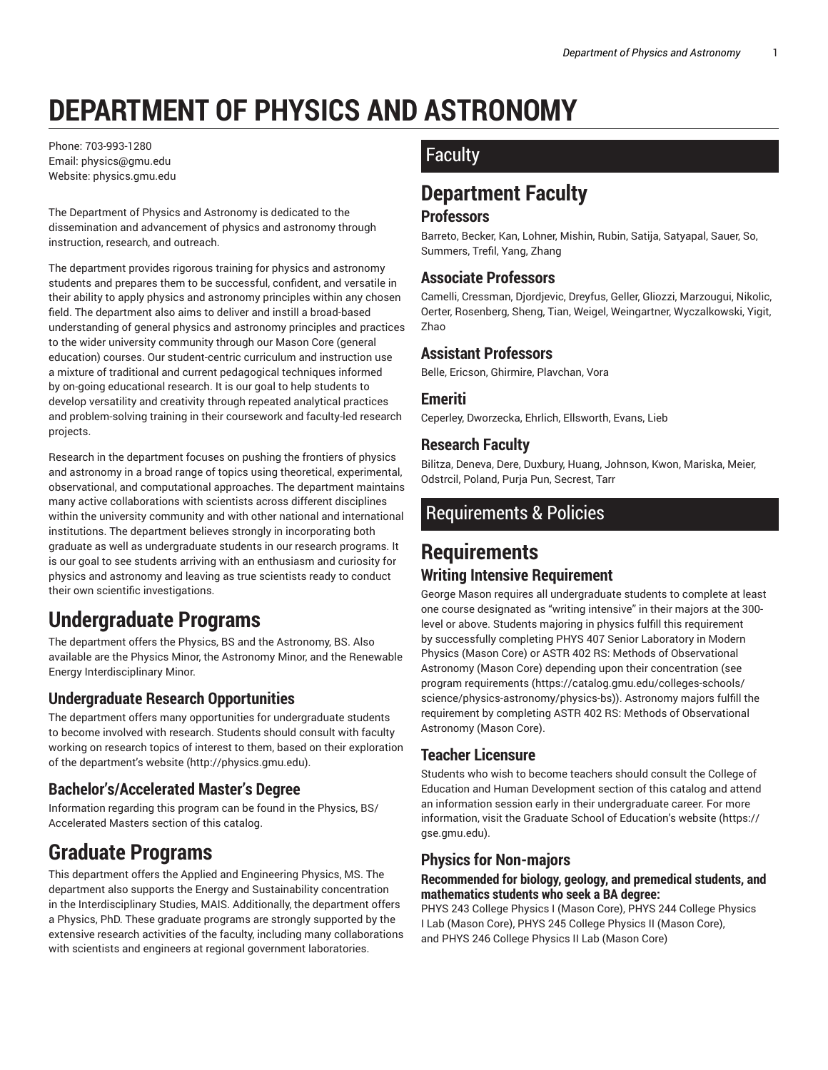# **DEPARTMENT OF PHYSICS AND ASTRONOMY**

Phone: 703-993-1280 Email: physics@gmu.edu Website: physics.gmu.edu

The Department of Physics and Astronomy is dedicated to the dissemination and advancement of physics and astronomy through instruction, research, and outreach.

The department provides rigorous training for physics and astronomy students and prepares them to be successful, confident, and versatile in their ability to apply physics and astronomy principles within any chosen field. The department also aims to deliver and instill a broad-based understanding of general physics and astronomy principles and practices to the wider university community through our Mason Core (general education) courses. Our student-centric curriculum and instruction use a mixture of traditional and current pedagogical techniques informed by on-going educational research. It is our goal to help students to develop versatility and creativity through repeated analytical practices and problem-solving training in their coursework and faculty-led research projects.

Research in the department focuses on pushing the frontiers of physics and astronomy in a broad range of topics using theoretical, experimental, observational, and computational approaches. The department maintains many active collaborations with scientists across different disciplines within the university community and with other national and international institutions. The department believes strongly in incorporating both graduate as well as undergraduate students in our research programs. It is our goal to see students arriving with an enthusiasm and curiosity for physics and astronomy and leaving as true scientists ready to conduct their own scientific investigations.

# **Undergraduate Programs**

The department offers the Physics, BS and the Astronomy, BS. Also available are the Physics Minor, the Astronomy Minor, and the Renewable Energy Interdisciplinary Minor.

#### **Undergraduate Research Opportunities**

The department offers many opportunities for undergraduate students to become involved with research. Students should consult with faculty working on research topics of interest to them, based on their exploration of the department's website (http://physics.gmu.edu).

#### **Bachelor's/Accelerated Master's Degree**

Information regarding this program can be found in the Physics, BS/ Accelerated Masters section of this catalog.

# **Graduate Programs**

This department offers the Applied and Engineering Physics, MS. The department also supports the Energy and Sustainability concentration in the Interdisciplinary Studies, MAIS. Additionally, the department offers a Physics, PhD. These graduate programs are strongly supported by the extensive research activities of the faculty, including many collaborations with scientists and engineers at regional government laboratories.

## **Faculty**

# **Department Faculty**

#### **Professors**

Barreto, Becker, Kan, Lohner, Mishin, Rubin, Satija, Satyapal, Sauer, So, Summers, Trefil, Yang, Zhang

#### **Associate Professors**

Camelli, Cressman, Djordjevic, Dreyfus, Geller, Gliozzi, Marzougui, Nikolic, Oerter, Rosenberg, Sheng, Tian, Weigel, Weingartner, Wyczalkowski, Yigit, Zhao

#### **Assistant Professors**

Belle, Ericson, Ghirmire, Plavchan, Vora

#### **Emeriti**

Ceperley, Dworzecka, Ehrlich, Ellsworth, Evans, Lieb

#### **Research Faculty**

Bilitza, Deneva, Dere, Duxbury, Huang, Johnson, Kwon, Mariska, Meier, Odstrcil, Poland, Purja Pun, Secrest, Tarr

### Requirements & Policies

### **Requirements Writing Intensive Requirement**

George Mason requires all undergraduate students to complete at least one course designated as "writing intensive" in their majors at the 300 level or above. Students majoring in physics fulfill this requirement by successfully completing PHYS 407 Senior Laboratory in Modern Physics (Mason Core) or ASTR 402 RS: Methods of Observational Astronomy (Mason Core) depending upon their concentration (see program requirements (https://catalog.gmu.edu/colleges-schools/ science/physics-astronomy/physics-bs)). Astronomy majors fulfill the requirement by completing ASTR 402 RS: Methods of Observational Astronomy (Mason Core).

#### **Teacher Licensure**

Students who wish to become teachers should consult the College of Education and Human Development section of this catalog and attend an information session early in their undergraduate career. For more information, visit the Graduate School of Education's website (https:// gse.gmu.edu).

#### **Physics for Non-majors**

#### **Recommended for biology, geology, and premedical students, and mathematics students who seek a BA degree:**

PHYS 243 College Physics I (Mason Core), PHYS 244 College Physics I Lab (Mason Core), PHYS 245 College Physics II (Mason Core), and PHYS 246 College Physics II Lab (Mason Core)